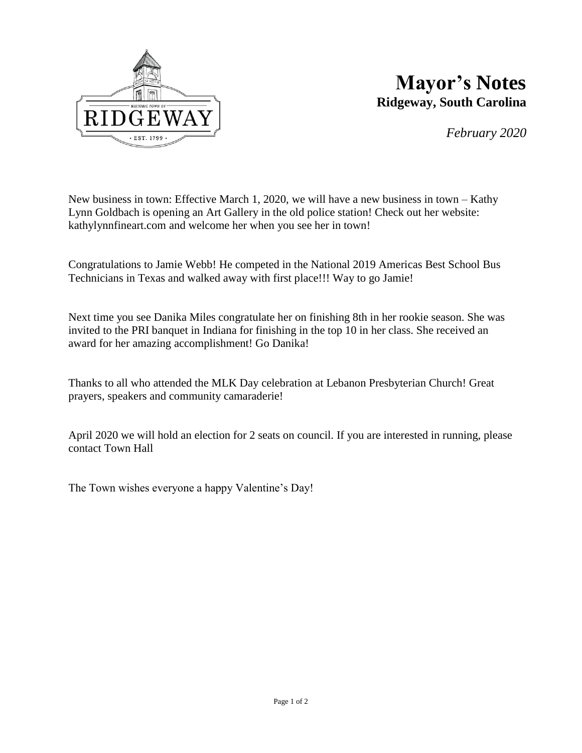

## **Mayor's Notes Ridgeway, South Carolina**

*February 2020*

New business in town: Effective March 1, 2020, we will have a new business in town – Kathy Lynn Goldbach is opening an Art Gallery in the old police station! Check out her website: kathylynnfineart.com and welcome her when you see her in town!

Congratulations to Jamie Webb! He competed in the National 2019 Americas Best School Bus Technicians in Texas and walked away with first place!!! Way to go Jamie!

Next time you see Danika Miles congratulate her on finishing 8th in her rookie season. She was invited to the PRI banquet in Indiana for finishing in the top 10 in her class. She received an award for her amazing accomplishment! Go Danika!

Thanks to all who attended the MLK Day celebration at Lebanon Presbyterian Church! Great prayers, speakers and community camaraderie!

April 2020 we will hold an election for 2 seats on council. If you are interested in running, please contact Town Hall

The Town wishes everyone a happy Valentine's Day!